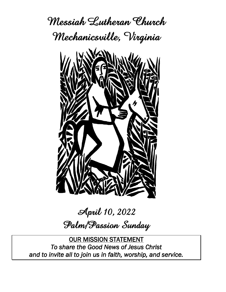**Messiah Lutheran Church Mechanicsville, Virginia**



# **April 10, 2022**

**Palm/Passion Sunday**

OUR MISSION STATEMENT *To share the Good News of Jesus Christ and to invite all to join us in faith, worship, and service.*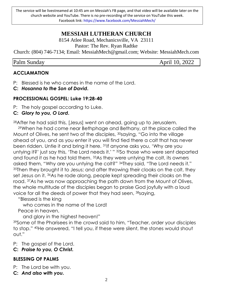The service will be livestreamed at 10:45 am on Messiah's FB page, and that video will be available later on the church website and YouTube. There is no pre-recording of the service on YouTube this week. Facebook link: https://www.facebook.com/MessiahMech/

# **MESSIAH LUTHERAN CHURCH**

8154 Atlee Road, Mechanicsville, VA 23111 Pastor: The Rev. Ryan Radtke

Church: (804) 746-7134; Email: MessiahMech@gmail.com; Website: MessiahMech.com

Palm Sunday April 10, 2022

#### **ACCLAMATION**

- P: Blessed is he who comes in the name of the Lord.
- **C:** *Hosanna to the Son of David***.**

#### **PROCESSIONAL GOSPEL: Luke 19:28-40**

- P: The holy gospel according to Luke.
- **C:** *Glory to you, O Lord***.**

<sup>28</sup>After he had said this, [Jesus] went on ahead, going up to Jerusalem.

<sup>29</sup>When he had come near Bethphage and Bethany, at the place called the Mount of Olives, he sent two of the disciples, <sup>30</sup>saying, "Go into the village ahead of you, and as you enter it you will find tied there a colt that has never been ridden. Untie it and bring it here. 31If anyone asks you, 'Why are you untying it?' just say this, 'The Lord needs it.' " <sup>32</sup>So those who were sent departed and found it as he had told them. 33As they were untying the colt, its owners asked them, "Why are you untying the colt?" 34They said, "The Lord needs it." <sup>35</sup>Then they brought it to Jesus; and after throwing their cloaks on the colt, they set Jesus on it. 36As he rode along, people kept spreading their cloaks on the road. 37As he was now approaching the path down from the Mount of Olives, the whole multitude of the disciples began to praise God joyfully with a loud voice for all the deeds of power that they had seen, 38 saying,

"Blessed is the king

who comes in the name of the Lord!

Peace in heaven,

and glory in the highest heaven!"

39Some of the Pharisees in the crowd said to him, "Teacher, order your disciples to stop." 40He answered, "I tell you, if these were silent, the stones would shout out."

P: The gospel of the Lord.

**C:** *Praise to you, O Christ.*

#### **BLESSING OF PALMS**

- P: The Lord be with you.
- **C:** *And also with you.*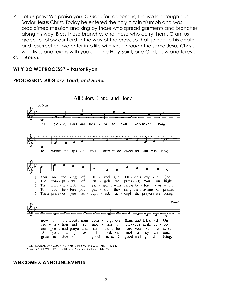- P: Let us pray: We praise you, O God, for redeeming the world through our Savior Jesus Christ. Today he entered the holy city in triumph and was proclaimed messiah and king by those who spread garments and branches along his way. Bless these branches and those who carry them. Grant us grace to follow our Lord in the way of the cross, so that, joined to his death and resurrection, we enter into life with you; through the same Jesus Christ, who lives and reigns with you and the Holy Spirit, one God, now and forever.
- *C: Amen.*

#### **WHY DO WE PROCESS? – Pastor Ryan**

#### **PROCESSION** *All Glory, Laud, and Honor*



Text: Theodulph of Orleans, c. 760-821; tr. John Mason Neale, 1818-1866, alt. Music: VALET WILL ICH DIR GEBEN, Melchior Teschner, 1584-1635

#### **WELCOME & ANNOUNCEMENTS**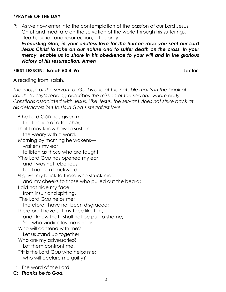# **\*PRAYER OF THE DAY**

P: As we now enter into the contemplation of the passion of our Lord Jesus Christ and meditate on the salvation of the world through his sufferings, death, burial, and resurrection, let us pray.

*Everlasting God, in your endless love for the human race you sent our Lord Jesus Christ to take on our nature and to suffer death on the cross. In your mercy, enable us to share in his obedience to your will and in the glorious victory of his resurrection. Amen*

#### **FIRST LESSON: Isaiah 50:4-9a Lector**

A reading from Isaiah.

The image of the servant of God is one of the notable motifs in the book of *Isaiah. Today's reading describes the mission of the servant, whom early Christians associated with Jesus. Like Jesus, the servant does not strike back at his detractors but trusts in God's steadfast love.*

<sup>4</sup>The Lord GOD has given me the tongue of a teacher, that I may know how to sustain the weary with a word. Morning by morning he wakens wakens my ear to listen as those who are taught. <sup>5</sup>The Lord GOD has opened my ear, and I was not rebellious, I did not turn backward. <sup>6</sup>I gave my back to those who struck me, and my cheeks to those who pulled out the beard; I did not hide my face from insult and spitting. <sup>7</sup>The Lord GOD helps me; therefore I have not been disgraced; therefore I have set my face like flint, and I know that I shall not be put to shame; <sup>8</sup>he who vindicates me is near. Who will contend with me? Let us stand up together. Who are my adversaries? Let them confront me. <sup>9a</sup>It is the Lord GOD who helps me: who will declare me guilty? L: The word of the Lord.

**C:** *Thanks be to God.*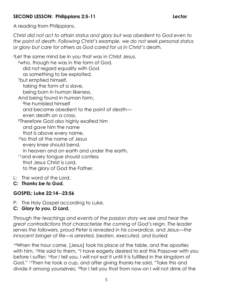# **SECOND LESSON: Philippians 2:5-11 Lector**

A reading from Philippians.

*Christ did not act to attain status and glory but was obedient to God even to the point of death. Following Christ's example, we do not seek personal status or glory but care for others as God cared for us in Christ's death.*

<sup>5</sup>Let the same mind be in you that was in Christ Jesus, <sup>6</sup>who, though he was in the form of God, did not regard equality with God as something to be exploited, <sup>7</sup>but emptied himself, taking the form of a slave, being born in human likeness. And being found in human form, <sup>8</sup>he humbled himself and became obedient to the point of death even death on a cross. <sup>9</sup>Therefore God also highly exalted him and gave him the name that is above every name, <sup>10</sup>so that at the name of Jesus every knee should bend, in heaven and on earth and under the earth, <sup>11</sup>and every tongue should confess that Jesus Christ is Lord, to the glory of God the Father.

- L: The word of the Lord.
- **C:** *Thanks be to God.*

# **GOSPEL: Luke 22:14--23:56**

- P: The Holy Gospel according to Luke.
- **C:** *Glory to you, O Lord.*

*Through the teachings and events of the passion story we see and hear the great contradictions that characterize the coming of God's reign. The leader serves the followers, proud Peter is revealed in his cowardice, and Jesus—the innocent bringer of life—is arrested, beaten, executed, and buried.*

<sup>14</sup>When the hour came, [Jesus] took his place at the table, and the apostles with him. <sup>15</sup>He said to them, "I have eagerly desired to eat this Passover with you before I suffer; 16for I tell you, I will not eat it until it is fulfilled in the kingdom of God." 17Then he took a cup, and after giving thanks he said, "Take this and divide it among yourselves; 18for I tell you that from now on I will not drink of the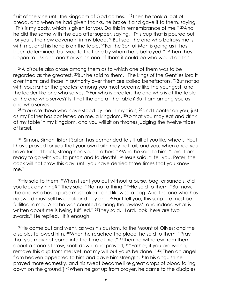fruit of the vine until the kingdom of God comes." 19Then he took a loaf of bread, and when he had given thanks, he broke it and gave it to them, saying, "This is my body, which is given for you. Do this in remembrance of me." 20And he did the same with the cup after supper, saying, "This cup that is poured out for you is the new covenant in my blood. 21But see, the one who betrays me is with me, and his hand is on the table. <sup>22</sup>For the Son of Man is going as it has been determined, but woe to that one by whom he is betrayed!" 23Then they began to ask one another which one of them it could be who would do this.

<sup>24</sup>A dispute also arose among them as to which one of them was to be regarded as the greatest. 25But he said to them, "The kings of the Gentiles lord it over them; and those in authority over them are called benefactors. <sup>26</sup>But not so with you; rather the greatest among you must become like the youngest, and the leader like one who serves. 27For who is greater, the one who is at the table or the one who serves? Is it not the one at the table? But I am among you as one who serves.

28"You are those who have stood by me in my trials; 29and I confer on you, just as my Father has conferred on me, a kingdom, <sup>30</sup>so that you may eat and drink at my table in my kingdom, and you will sit on thrones judging the twelve tribes of Israel.

<sup>31</sup>"Simon, Simon, listen! Satan has demanded to sift all of you like wheat, 32but I have prayed for you that your own faith may not fail; and you, when once you have turned back, strengthen your brothers." 33And he said to him, "Lord, I am ready to go with you to prison and to death!" 34Jesus said, "I tell you, Peter, the cock will not crow this day, until you have denied three times that you know me."

<sup>35</sup>He said to them, "When I sent you out without a purse, bag, or sandals, did you lack anything?" They said, "No, not a thing." 36He said to them, "But now, the one who has a purse must take it, and likewise a bag. And the one who has no sword must sell his cloak and buy one. 37For I tell you, this scripture must be fulfilled in me, 'And he was counted among the lawless'; and indeed what is written about me is being fulfilled." <sup>38</sup>They said, "Lord, look, here are two swords." He replied, "It is enough."

<sup>39</sup>He came out and went, as was his custom, to the Mount of Olives; and the disciples followed him. 40When he reached the place, he said to them, "Pray that you may not come into the time of trial." 41Then he withdrew from them about a stone's throw, knelt down, and prayed, 42"Father, if you are willing, remove this cup from me; yet, not my will but yours be done." 43 [Then an angel from heaven appeared to him and gave him strength. 44In his anguish he prayed more earnestly, and his sweat became like great drops of blood falling down on the ground.] <sup>45</sup>When he got up from prayer, he came to the disciples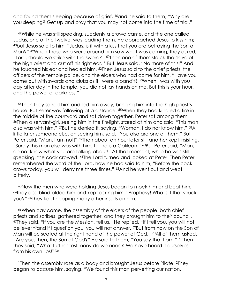and found them sleeping because of grief, 46and he said to them, "Why are you sleeping? Get up and pray that you may not come into the time of trial."

<sup>47</sup>While he was still speaking, suddenly a crowd came, and the one called Judas, one of the twelve, was leading them. He approached Jesus to kiss him; <sup>48</sup>but Jesus said to him, "Judas, is it with a kiss that you are betraying the Son of Man?" 49When those who were around him saw what was coming, they asked, "Lord, should we strike with the sword?" <sup>50</sup>Then one of them struck the slave of the high priest and cut off his right ear. 51But Jesus said, "No more of this!" And he touched his ear and healed him. 52Then Jesus said to the chief priests, the officers of the temple police, and the elders who had come for him, "Have you come out with swords and clubs as if I were a bandit? 53When I was with you day after day in the temple, you did not lay hands on me. But this is your hour, and the power of darkness!"

<sup>54</sup>Then they seized him and led him away, bringing him into the high priest's house. But Peter was following at a distance. 55When they had kindled a fire in the middle of the courtyard and sat down together, Peter sat among them. <sup>56</sup>Then a servant-girl, seeing him in the firelight, stared at him and said, "This man also was with him." 57But he denied it, saying, "Woman, I do not know him." 58A little later someone else, on seeing him, said, "You also are one of them." But Peter said, "Man, I am not!" <sup>59</sup>Then about an hour later still another kept insisting, "Surely this man also was with him; for he is a Galilean." <sup>60</sup>But Peter said, "Man, I do not know what you are talking about!" At that moment, while he was still speaking, the cock crowed. <sup>61</sup>The Lord turned and looked at Peter. Then Peter remembered the word of the Lord, how he had said to him, "Before the cock crows today, you will deny me three times." 62And he went out and wept bitterly.

<sup>63</sup>Now the men who were holding Jesus began to mock him and beat him; <sup>64</sup>they also blindfolded him and kept asking him, "Prophesy! Who is it that struck you?" 65They kept heaping many other insults on him.

<sup>66</sup>When day came, the assembly of the elders of the people, both chief priests and scribes, gathered together, and they brought him to their council. <sup>67</sup>They said, "If you are the Messiah, tell us." He replied, "If I tell you, you will not believe; <sup>68</sup>and if I question you, you will not answer. <sup>69</sup>But from now on the Son of Man will be seated at the right hand of the power of God." <sup>70</sup>All of them asked, "Are you, then, the Son of God?" He said to them, "You say that I am." 71Then they said, "What further testimony do we need? We have heard it ourselves from his own lips!"23:

<sup>1</sup>Then the assembly rose as a body and brought Jesus before Pilate. <sup>2</sup>They began to accuse him, saying, "We found this man perverting our nation,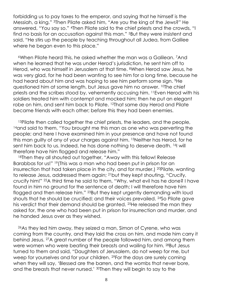forbidding us to pay taxes to the emperor, and saying that he himself is the Messiah, a king." 3Then Pilate asked him, "Are you the king of the Jews?" He answered, "You say so." 4Then Pilate said to the chief priests and the crowds, "I find no basis for an accusation against this man." 5But they were insistent and said, "He stirs up the people by teaching throughout all Judea, from Galilee where he began even to this place."

<sup>6</sup>When Pilate heard this, he asked whether the man was a Galilean. 7And when he learned that he was under Herod's jurisdiction, he sent him off to Herod, who was himself in Jerusalem at that time. 8When Herod saw Jesus, he was very glad, for he had been wanting to see him for a long time, because he had heard about him and was hoping to see him perform some sign. <sup>9</sup>He questioned him at some length, but Jesus gave him no answer. 10The chief priests and the scribes stood by, vehemently accusing him. 11Even Herod with his soldiers treated him with contempt and mocked him; then he put an elegant robe on him, and sent him back to Pilate. 12That same day Herod and Pilate became friends with each other; before this they had been enemies.

<sup>13</sup>Pilate then called together the chief priests, the leaders, and the people, <sup>14</sup>and said to them, "You brought me this man as one who was perverting the people; and here I have examined him in your presence and have not found this man guilty of any of your charges against him. 15Neither has Herod, for he sent him back to us. Indeed, he has done nothing to deserve death. <sup>14</sup>I will therefore have him flogged and release him."

18Then they all shouted out together, "Away with this fellow! Release Barabbas for us!" 19(This was a man who had been put in prison for an insurrection that had taken place in the city, and for murder.) 20Pilate, wanting to release Jesus, addressed them again; 21but they kept shouting, "Crucify, crucify him!" 22A third time he said to them, "Why, what evil has he done? I have found in him no ground for the sentence of death; I will therefore have him flogged and then release him." 23But they kept urgently demanding with loud shouts that he should be crucified; and their voices prevailed. 24So Pilate gave his verdict that their demand should be granted. 25He released the man they asked for, the one who had been put in prison for insurrection and murder, and he handed Jesus over as they wished.

 $26$ As they led him away, they seized a man, Simon of Cyrene, who was coming from the country, and they laid the cross on him, and made him carry it behind Jesus. 27A great number of the people followed him, and among them were women who were beating their breasts and wailing for him. 28But Jesus turned to them and said, "Daughters of Jerusalem, do not weep for me, but weep for yourselves and for your children. 29For the days are surely coming when they will say, 'Blessed are the barren, and the wombs that never bore, and the breasts that never nursed.' 30Then they will begin to say to the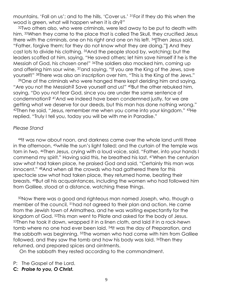mountains, 'Fall on us'; and to the hills, 'Cover us.' 31For if they do this when the wood is green, what will happen when it is dry?"

<sup>32</sup>Two others also, who were criminals, were led away to be put to death with him. 33When they came to the place that is called The Skull, they crucified Jesus there with the criminals, one on his right and one on his left. 34 [Then Jesus said, "Father, forgive them; for they do not know what they are doing." And they cast lots to divide his clothing. 35And the people stood by, watching; but the leaders scoffed at him, saying, "He saved others; let him save himself if he is the Messiah of God, his chosen one!" 36The soldiers also mocked him, coming up and offering him sour wine, 37and saying, "If you are the King of the Jews, save yourself!" 38There was also an inscription over him, "This is the King of the Jews."

<sup>39</sup>One of the criminals who were hanged there kept deriding him and saying, "Are you not the Messiah? Save yourself and us!" 40But the other rebuked him, saying, "Do you not fear God, since you are under the same sentence of condemnation? 41And we indeed have been condemned justly, for we are getting what we deserve for our deeds, but this man has done nothing wrong." 42Then he said, "Jesus, remember me when you come into your kingdom." 43He replied, "Truly I tell you, today you will be with me in Paradise."

#### *Please Stand*

<sup>44</sup>It was now about noon, and darkness came over the whole land until three in the afternoon, 45while the sun's light failed; and the curtain of the temple was torn in two. 46Then Jesus, crying with a loud voice, said, "Father, into your hands I commend my spirit." Having said this, he breathed his last. 47When the centurion saw what had taken place, he praised God and said, "Certainly this man was innocent." 48And when all the crowds who had gathered there for this spectacle saw what had taken place, they returned home, beating their breasts. 49But all his acquaintances, including the women who had followed him from Galilee, stood at a distance, watching these things.

<sup>50</sup>Now there was a good and righteous man named Joseph, who, though a member of the council, 51had not agreed to their plan and action. He came from the Jewish town of Arimathea, and he was waiting expectantly for the kingdom of God. 52This man went to Pilate and asked for the body of Jesus. <sup>53</sup>Then he took it down, wrapped it in a linen cloth, and laid it in a rock-hewn tomb where no one had ever been laid. <sup>54</sup>It was the day of Preparation, and the sabbath was beginning. 55The women who had come with him from Galilee followed, and they saw the tomb and how his body was laid. 56Then they returned, and prepared spices and ointments.

On the sabbath they rested according to the commandment.

P: The Gospel of the Lord.

**C:** *Praise to you, O Christ.*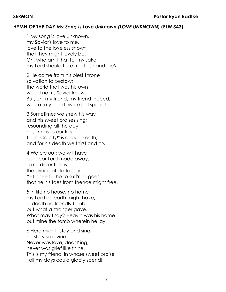#### **HYMN OF THE DAY** *My Song Is Love Unknown (LOVE UNKNOWN)* **(ELW 343)**

1 My song is love unknown, my Savior's love to me, love to the loveless shown that they might lovely be. Oh, who am I that for my sake my Lord should take frail flesh and die?

2 He came from his blest throne salvation to bestow; the world that was his own would not its Savior know. But, oh, my friend, my friend indeed, who at my need his life did spend!

3 Sometimes we strew his way and his sweet praises sing; resounding all the day hosannas to our king. Then "Crucify!" is all our breath, and for his death we thirst and cry.

4 We cry out; we will have our dear Lord made away, a murderer to save, the prince of life to slay. Yet cheerful he to suff'ring goes that he his foes from thence might free.

5 In life no house, no home my Lord on earth might have; in death no friendly tomb but what a stranger gave. What may I say? Heav'n was his home but mine the tomb wherein he lay.

6 Here might I stay and sing- no story so divine! Never was love, dear King, never was grief like thine. This is my friend, in whose sweet praise I all my days could gladly spend!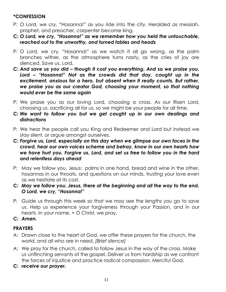# **\*CONFESSION**

- P: O Lord, we cry, "Hosanna!" as you ride into the city. Heralded as messiah, prophet, and preacher, carpenter become king.
- **C:** *O Lord, we cry, "Hosanna!" as we remember how you held the untouchable, reached out to the unworthy, and turned tables and heads*
- P: O Lord, we cry, "Hosanna!" as we watch it all go wrong, as the palm branches wither, as the atmosphere turns nasty, as the cries of joy are silenced. Save us, Lord.
- **C:** *And save us you did – though it cost you everything. And so we praise you, Lord – "Hosanna!" Not as the crowds did that day, caught up in the excitement, anxious for a hero, but absent when it really counts. But rather, we praise you as our creator God, choosing your moment, so that nothing would ever be the same again*
- P: We praise you as our loving Lord, choosing a cross. As our Risen Lord, choosing us, sacrificing all for us, so we might be your people for all time.
- **C:** *We want to follow you but we get caught up in our own dealings and distractions*
- P: We hear the people call you King and Redeemer and Lord but instead we stay silent, or argue amongst ourselves.
- **C:** *Forgive us, Lord, especially on this day when we glimpse our own faces in the crowd, hear our own voices scheme and betray, know in our own hearts how we have hurt you. Forgive us, Lord, and set us free to follow you in the hard and relentless days ahead*
- P: May we follow you, Jesus: palms in one hand, bread and wine in the other, hosannas in our throats, and questions on our minds, trusting your love even as we hesitate at its cost.
- **C:** *May we follow you, Jesus, there at the beginning and all the way to the end. O Lord, we cry, "Hosanna!"*
- P: Guide us through this week so that we may see the lengths you go to save us. Help us experience your forgiveness through your Passion, and in our hearts. In your name, + O Christ, we pray.
- **C:** *Amen***.**

# **PRAYERS**

- A: Drawn close to the heart of God, we offer these prayers for the church, the world, and all who are in need. *[Brief silence]*
- A: We pray for the church, called to follow Jesus in the way of the cross. Make us unflinching servants of the gospel. Deliver us from hardship as we confront the forces of injustice and practice radical compassion. Merciful God,
- **C:** *receive our prayer.*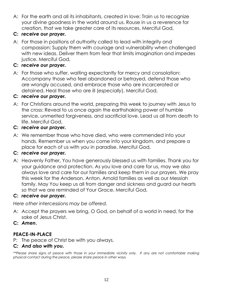A: For the earth and all its inhabitants, created in love: Train us to recognize your divine goodness in the world around us. Rouse in us a reverence for creation, that we take greater care of its resources. Merciful God,

# **C:** *receive our prayer.*

A: For those in positions of authority called to lead with integrity and compassion: Supply them with courage and vulnerability when challenged with new ideas. Deliver them from fear that limits imagination and impedes justice. Merciful God,

# **C:** *receive our prayer.*

A: For those who suffer, waiting expectantly for mercy and consolation: Accompany those who feel abandoned or betrayed, defend those who are wrongly accused, and embrace those who are incarcerated or detained. Heal those who are ill (*especially*). Merciful God,

# **C:** *receive our prayer.*

A: For Christians around the world, preparing this week to journey with Jesus to the cross: Reveal to us once again the earthshaking power of humble service, unmerited forgiveness, and sacrificial love. Lead us all from death to life. Merciful God,

# **C:** *receive our prayer.*

A: We remember those who have died, who were commended into your hands. Remember us when you come into your kingdom, and prepare a place for each of us with you in paradise. Merciful God,

# **C:** *receive our prayer.*

A: Heavenly Father, You have generously blessed us with families. Thank you for your guidance and protection. As you love and care for us, may we also always love and care for our families and keep them in our prayers. We pray this week for the Anderson, Anton, Arnold families as well as our Messiah family. May You keep us all from danger and sickness and guard our hearts so that we are reminded of Your Grace. Merciful God,

# **C:** *receive our prayer.*

*Here other intercessions may be offered.*

- A: Accept the prayers we bring, O God, on behalf of a world in need, for the sake of Jesus Christ.
- **C:** *Amen***.**

# **PEACE-IN-PLACE**

P: The peace of Christ be with you always.

# **C***: And also with you.*

*\*\*Please share signs of peace with those in your immediate vicinity only. If any are not comfortable making physical contact during the peace, please share peace in other ways.*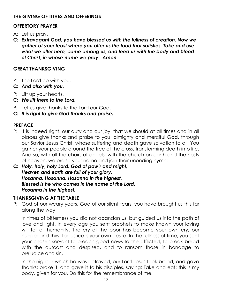#### **THE GIVING OF TITHES AND OFFERINGS**

# **OFFERTORY PRAYER**

- A: Let us pray.
- **C:** *Extravagant God, you have blessed us with the fullness of creation. Now we gather at your feast where you offer us the food that satisfies. Take and use what we offer here, come among us, and feed us with the body and blood of Christ, in whose name we pray. Amen*

#### **GREAT THANKSGIVING**

- P: The Lord be with you.
- **C:** *And also with you.*
- P: Lift up your hearts.
- **C:** *We lift them to the Lord.*
- P: Let us give thanks to the Lord our God.
- **C:** *It is right to give God thanks and praise.*

#### **PREFACE**

- P: It is indeed right, our duty and our joy, that we should at all times and in all places give thanks and praise to you, almighty and merciful God, through our Savior Jesus Christ, whose suffering and death gave salvation to all. You gather your people around the tree of the cross, transforming death into life. And so, with all the choirs of angels, with the church on earth and the hosts of heaven, we praise your name and join their unending hymn:
- **C:** *Holy, holy, holy Lord, God of pow'r and might, Heaven and earth are full of your glory. Hosanna. Hosanna. Hosanna in the highest. Blessed is he who comes in the name of the Lord. Hosanna in the highest.*

#### **THANKSGIVING AT THE TABLE**

P: God of our weary years, God of our silent tears, you have brought us this far along the way.

In times of bitterness you did not abandon us, but guided us into the path of love and light. In every age you sent prophets to make known your loving will for all humanity. The cry of the poor has become your own cry; our hunger and thirst for justice is your own desire. In the fullness of time, you sent your chosen servant to preach good news to the afflicted, to break bread with the outcast and despised, and to ransom those in bondage to prejudice and sin.

In the night in which he was betrayed, our Lord Jesus took bread, and gave thanks; broke it, and gave it to his disciples, saying: Take and eat; this is my body, given for you. Do this for the remembrance of me.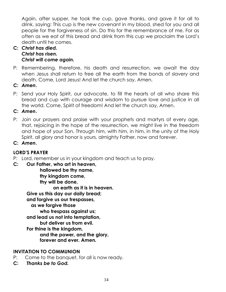Again, after supper, he took the cup, gave thanks, and gave it for all to drink, saying: This cup is the new covenant in my blood, shed for you and all people for the forgiveness of sin. Do this for the remembrance of me. For as often as we eat of this bread and drink from this cup we proclaim the Lord's death until he comes.

# **C:** *Christ has died. Christ has risen. Christ will come again.*

- P: Remembering, therefore, his death and resurrection, we await the day when Jesus shall return to free all the earth from the bonds of slavery and death. Come, Lord Jesus! And let the church say, Amen.
- **C:** *Amen***.**
- P: Send your Holy Spirit, our advocate, to fill the hearts of all who share this bread and cup with courage and wisdom to pursue love and justice in all the world. Come, Spirit of freedom! And let the church say, Amen.

# **C:** *Amen***.**

P: Join our prayers and praise with your prophets and martyrs of every age, that, rejoicing in the hope of the resurrection, we might live in the freedom and hope of your Son. Through him, with him, in him, in the unity of the Holy Spirit, all glory and honor is yours, almighty Father, now and forever.

# **C:** *Amen***.**

# **LORD'S PRAYER**

P: Lord, remember us in your kingdom and teach us to pray.

#### **C: Our Father, who art in heaven,**

**hallowed be thy name, thy kingdom come, thy will be done, on earth as it is in heaven. Give us this day our daily bread; and forgive us our trespasses, as we forgive those who trespass against us; and lead us not into temptation, but deliver us from evil. For thine is the kingdom, and the power, and the glory, forever and ever. Amen***.*

# **INVITATION TO COMMUNION**

- P: Come to the banquet, for all is now ready.
- **C:** *Thanks be to God.*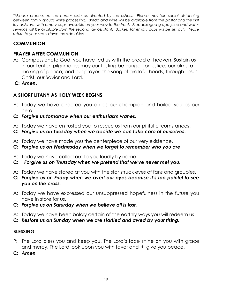*\*\*Please process up the center aisle as directed by the ushers. Please maintain social distancing between family groups while processing. Bread and wine will be available from the pastor and the first lay assistant, with empty cups available on your way to the front. Prepackaged grape juice and wafer servings will be available from the second lay assistant. Baskets for empty cups will be set out. Please return to your seats down the side aisles.*

# **COMMUNION**

# **PRAYER AFTER COMMUNION**

- A: Compassionate God, you have fed us with the bread of heaven. Sustain us in our Lenten pilgrimage: may our fasting be hunger for justice; our alms, a making of peace; and our prayer, the song of grateful hearts, through Jesus Christ, our Savior and Lord.
- **C:** *Amen***.**

# **A SHORT LITANY AS HOLY WEEK BEGINS**

- A: Today we have cheered you on as our champion and hailed you as our hero.
- **C:** *Forgive us tomorrow when our enthusiasm wanes.*
- A: Today we have entrusted you to rescue us from our pitiful circumstances.
- **C:** *Forgive us on Tuesday when we decide we can take care of ourselves.*
- A: Today we have made you the centerpiece of our very existence.
- **C:** *Forgive us on Wednesday when we forget to remember who you are.*
- A: Today we have called out to you loudly by name.
- **C:** *Forgive us on Thursday when we pretend that we've never met you.*
- A: Today we have stared at you with the star struck eyes of fans and groupies.
- **C:** *Forgive us on Friday when we avert our eyes because it's too painful to see you on the cross.*
- A: Today we have expressed our unsuppressed hopefulness in the future you have in store for us.
- **C:** *Forgive us on Saturday when we believe all is lost.*
- A: Today we have been boldly certain of the earthly ways you will redeem us.
- **C:** *Restore us on Sunday when we are startled and awed by your rising.*

#### **BLESSING**

- P: The Lord bless you and keep you. The Lord's face shine on you with grace and mercy. The Lord look upon you with favor and  $#$  give you peace.
- **C:** *Amen*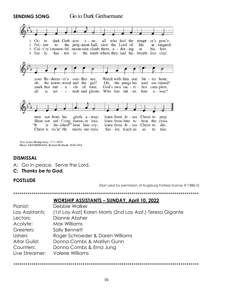Go to Dark Gethsemane



dark Geth-sem - a - ne, all who feel the<br>to the judg-ment hall, view the Lord of tempt - er's pow'r; Go to  $\mathbf{I}$ 2 Fol -  $low$ life ar - raigned; 3 Cal-v'ry's mourn-ful moun-tain climb; there, a - dor-ing at his feet, 4 Ear -  $ly$ has - ten to the tomb where they laid his breath-less clay;



your Re-deem-er's con-flict see. oh. the worm-wood and the gall! mark that mir - a - cle of time, sol - i - tude and gloom. Who has tak - en all  $1S$ 

Watch with him one bit - ter hour; Oh, the pangs his soul sus-tained! God's own sac - ri - fice com-plete. him  $a - way?$ 



griefs a - way; turn not from his Shun not suf-f'ring, shame, or loss; fin-ished!" hear him cry; "It is. Christ is ris'n! He meets our eyes.

| learn from Je - sus Christ to pray. |  |  |
|-------------------------------------|--|--|
| learn from him to bear the cross.   |  |  |
| learn from Je - sus Christ to die.  |  |  |
| Sav - ior, teach us so to rise.     |  |  |

Text: James Montgomery, 1771-1854 Music: GETHSEMANE, Richard Redhead, 1820-1901

#### **DISMISSAL**

A: Go in peace. Serve the Lord.

**C:** *Thanks be to God.*

#### **POSTLUDE**

(Text used by permission of Augsburg Fortress license #11886-S)

\*\*\*\*\*\*\*\*\*\*\*\*\*\*\*\*\*\*\*\*\*\*\*\*\*\*\*\*\*\*\*\*\*\*\*\*\*\*\*\*\*\*\*\*\*\*\*\*\*\*\*\*\*\*\*\*\*\*\*\*\*\*\*\*\*\*\*\*\*\*\*\*\*\*\*\*\*\*\*\*\*\*\*\*\*\*\*\*\*\*\*

#### **WORSHIP ASSISTANTS – SUNDAY, April 10, 2022**

| Debbie Walker                                              |
|------------------------------------------------------------|
| (1st Lay Asst) Karen Morris (2nd Lay Asst.) Teresa Gigante |
| Dianne Absher                                              |
| Max Williams                                               |
| <b>Sally Bennett</b>                                       |
| Roger Schroeder & Daren Williams                           |
| Donna Combs & Marilyn Gunn                                 |
| Donna Combs & Erna Jung                                    |
| <b>Valerie Williams</b>                                    |
|                                                            |

\*\*\*\*\*\*\*\*\*\*\*\*\*\*\*\*\*\*\*\*\*\*\*\*\*\*\*\*\*\*\*\*\*\*\*\*\*\*\*\*\*\*\*\*\*\*\*\*\*\*\*\*\*\*\*\*\*\*\*\*\*\*\*\*\*\*\*\*\*\*\*\*\*\*\*\*\*\*\*\*\*\*\*\*\*\*\*\*\*\*\*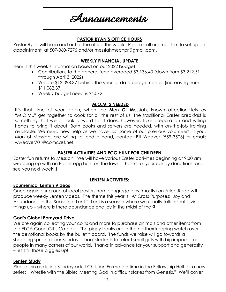**Announcements**

#### **PASTOR RYAN'S OFFICE HOURS**

Pastor Ryan will be in and out of the office this week. Please call or email him to set up an appointment, at 507-360-7276 and/or messiahmechpr@gmail.com.

#### **WEEKLY FINANCIAL UPDATE**

Here is this week's information based on our 2022 budget.

- Contributions to the general fund averaged \$3,136.40 (down from \$3,219.51 through April 3, 2022).
- We are \$13,098.37 behind the year-to-date budget needs. (increasing from \$11,082.37)
- Weekly budget need is \$4,072.

#### **M.O.M.'S NEEDED**

It's that time of year again, when the **M**en **O**f **M**essiah, known affectionately as "M.O.M.," get together to cook for all the rest of us. The traditional Easter breakfast is something that we all look forward to. It does, however, take preparation and willing hands to bring it about. Both cooks and servers are needed, with on-the-job training available. We need new help as we have lost some of our previous volunteers. If you, Man of Messiah, are willing to lend a hand, contact Bill Weaver (559-3503) or email: wweaver701@comcast.net.

#### **EASTER ACTIVITIES AND EGG HUNT FOR CHILDREN**

Easter fun returns to Messiah! We will have various Easter activities beginning at 9:30 am, wrapping up with an Easter egg hunt on the lawn. Thanks for your candy donations, and see you next week!!!

#### **Ecumenical Lenten Videos**

#### **LENTEN ACTIVITIES:**

Once again our group of local pastors from congregations (mostly) on Atlee Road will produce weekly Lenten videos. The theme this year is "At Cross Purposes: Joy and Abundance in the Season of Lent." Lent is a season where we usually talk about giving things up – where is there abundance and joy in the midst of that?

#### **God's Global Barnyard Drive**

We are again collecting your coins and more to purchase animals and other items from the ELCA Good Gifts Catalog. The piggy banks are in the narthex keeping watch over the devotional books by the bulletin board. The funds we raise will go towards a shopping spree for our Sunday school students to select small gifts with big impacts for people in many corners of our world. Thanks in advance for your support and generosity – let's fill those piggies up!

#### **Lenten Study**

Please join us during Sunday adult Christian Formation time in the Fellowship Hall for a new series: "Wrestle with the Bible: Meeting God in difficult stories from Genesis." We'll cover